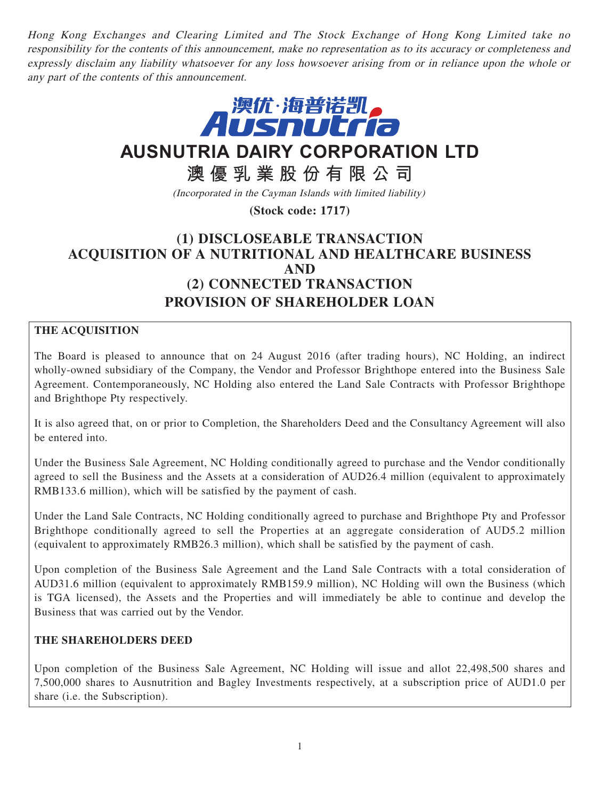Hong Kong Exchanges and Clearing Limited and The Stock Exchange of Hong Kong Limited take no responsibility for the contents of this announcement, make no representation as to its accuracy or completeness and expressly disclaim any liability whatsoever for any loss howsoever arising from or in reliance upon the whole or any part of the contents of this announcement.



**AUSNUTRIA DAIRY CORPORATION LTD**

**澳優乳業股份有限公司**

(Incorporated in the Cayman Islands with limited liability)

**(Stock code: 1717)**

# **(1) DISCLOSEABLE TRANSACTION ACQUISITION OF A NUTRITIONAL AND HEALTHCARE BUSINESS AND (2) CONNECTED TRANSACTION PROVISION OF SHAREHOLDER LOAN**

## **THE ACQUISITION**

The Board is pleased to announce that on 24 August 2016 (after trading hours), NC Holding, an indirect wholly-owned subsidiary of the Company, the Vendor and Professor Brighthope entered into the Business Sale Agreement. Contemporaneously, NC Holding also entered the Land Sale Contracts with Professor Brighthope and Brighthope Pty respectively.

It is also agreed that, on or prior to Completion, the Shareholders Deed and the Consultancy Agreement will also be entered into.

Under the Business Sale Agreement, NC Holding conditionally agreed to purchase and the Vendor conditionally agreed to sell the Business and the Assets at a consideration of AUD26.4 million (equivalent to approximately RMB133.6 million), which will be satisfied by the payment of cash.

Under the Land Sale Contracts, NC Holding conditionally agreed to purchase and Brighthope Pty and Professor Brighthope conditionally agreed to sell the Properties at an aggregate consideration of AUD5.2 million (equivalent to approximately RMB26.3 million), which shall be satisfied by the payment of cash.

Upon completion of the Business Sale Agreement and the Land Sale Contracts with a total consideration of AUD31.6 million (equivalent to approximately RMB159.9 million), NC Holding will own the Business (which is TGA licensed), the Assets and the Properties and will immediately be able to continue and develop the Business that was carried out by the Vendor.

## **THE SHAREHOLDERS DEED**

Upon completion of the Business Sale Agreement, NC Holding will issue and allot 22,498,500 shares and 7,500,000 shares to Ausnutrition and Bagley Investments respectively, at a subscription price of AUD1.0 per share (i.e. the Subscription).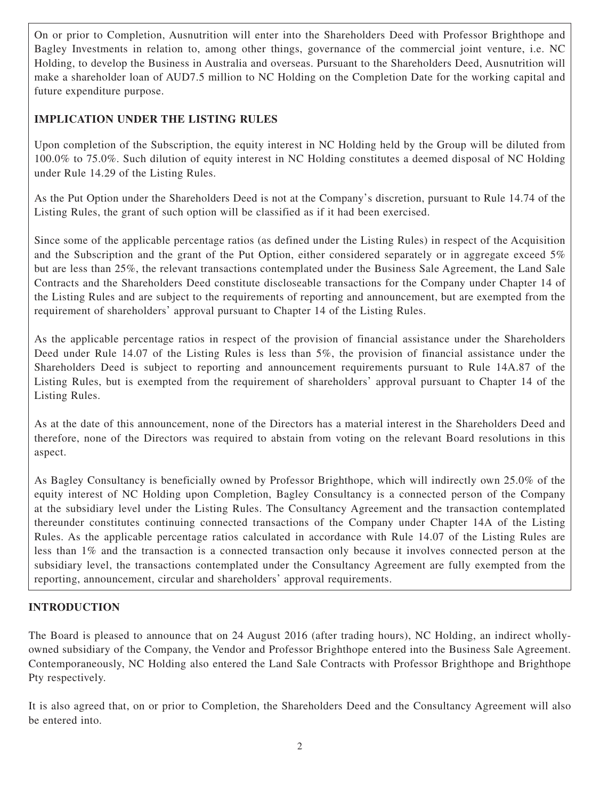On or prior to Completion, Ausnutrition will enter into the Shareholders Deed with Professor Brighthope and Bagley Investments in relation to, among other things, governance of the commercial joint venture, i.e. NC Holding, to develop the Business in Australia and overseas. Pursuant to the Shareholders Deed, Ausnutrition will make a shareholder loan of AUD7.5 million to NC Holding on the Completion Date for the working capital and future expenditure purpose.

## **IMPLICATION UNDER THE LISTING RULES**

Upon completion of the Subscription, the equity interest in NC Holding held by the Group will be diluted from 100.0% to 75.0%. Such dilution of equity interest in NC Holding constitutes a deemed disposal of NC Holding under Rule 14.29 of the Listing Rules.

As the Put Option under the Shareholders Deed is not at the Company's discretion, pursuant to Rule 14.74 of the Listing Rules, the grant of such option will be classified as if it had been exercised.

Since some of the applicable percentage ratios (as defined under the Listing Rules) in respect of the Acquisition and the Subscription and the grant of the Put Option, either considered separately or in aggregate exceed 5% but are less than 25%, the relevant transactions contemplated under the Business Sale Agreement, the Land Sale Contracts and the Shareholders Deed constitute discloseable transactions for the Company under Chapter 14 of the Listing Rules and are subject to the requirements of reporting and announcement, but are exempted from the requirement of shareholders' approval pursuant to Chapter 14 of the Listing Rules.

As the applicable percentage ratios in respect of the provision of financial assistance under the Shareholders Deed under Rule 14.07 of the Listing Rules is less than 5%, the provision of financial assistance under the Shareholders Deed is subject to reporting and announcement requirements pursuant to Rule 14A.87 of the Listing Rules, but is exempted from the requirement of shareholders' approval pursuant to Chapter 14 of the Listing Rules.

As at the date of this announcement, none of the Directors has a material interest in the Shareholders Deed and therefore, none of the Directors was required to abstain from voting on the relevant Board resolutions in this aspect.

As Bagley Consultancy is beneficially owned by Professor Brighthope, which will indirectly own 25.0% of the equity interest of NC Holding upon Completion, Bagley Consultancy is a connected person of the Company at the subsidiary level under the Listing Rules. The Consultancy Agreement and the transaction contemplated thereunder constitutes continuing connected transactions of the Company under Chapter 14A of the Listing Rules. As the applicable percentage ratios calculated in accordance with Rule 14.07 of the Listing Rules are less than 1% and the transaction is a connected transaction only because it involves connected person at the subsidiary level, the transactions contemplated under the Consultancy Agreement are fully exempted from the reporting, announcement, circular and shareholders' approval requirements.

## **INTRODUCTION**

The Board is pleased to announce that on 24 August 2016 (after trading hours), NC Holding, an indirect whollyowned subsidiary of the Company, the Vendor and Professor Brighthope entered into the Business Sale Agreement. Contemporaneously, NC Holding also entered the Land Sale Contracts with Professor Brighthope and Brighthope Pty respectively.

It is also agreed that, on or prior to Completion, the Shareholders Deed and the Consultancy Agreement will also be entered into.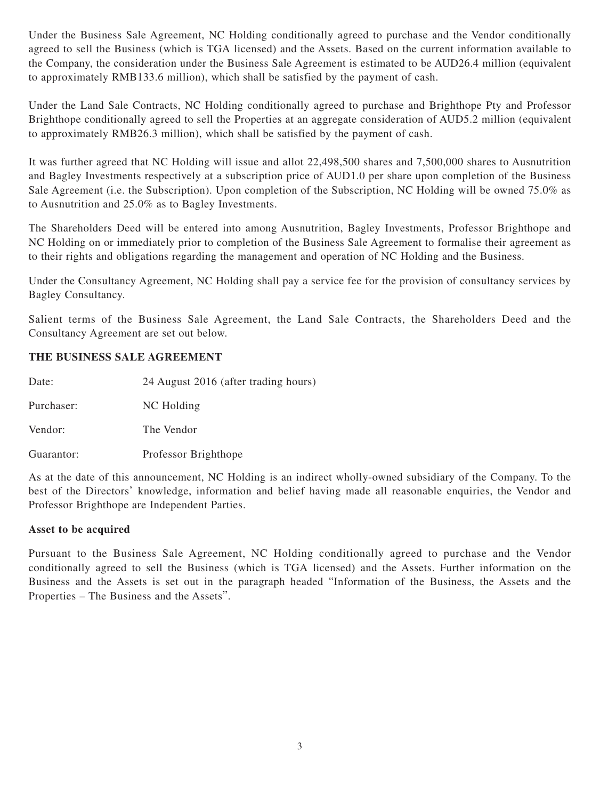Under the Business Sale Agreement, NC Holding conditionally agreed to purchase and the Vendor conditionally agreed to sell the Business (which is TGA licensed) and the Assets. Based on the current information available to the Company, the consideration under the Business Sale Agreement is estimated to be AUD26.4 million (equivalent to approximately RMB133.6 million), which shall be satisfied by the payment of cash.

Under the Land Sale Contracts, NC Holding conditionally agreed to purchase and Brighthope Pty and Professor Brighthope conditionally agreed to sell the Properties at an aggregate consideration of AUD5.2 million (equivalent to approximately RMB26.3 million), which shall be satisfied by the payment of cash.

It was further agreed that NC Holding will issue and allot 22,498,500 shares and 7,500,000 shares to Ausnutrition and Bagley Investments respectively at a subscription price of AUD1.0 per share upon completion of the Business Sale Agreement (i.e. the Subscription). Upon completion of the Subscription, NC Holding will be owned 75.0% as to Ausnutrition and 25.0% as to Bagley Investments.

The Shareholders Deed will be entered into among Ausnutrition, Bagley Investments, Professor Brighthope and NC Holding on or immediately prior to completion of the Business Sale Agreement to formalise their agreement as to their rights and obligations regarding the management and operation of NC Holding and the Business.

Under the Consultancy Agreement, NC Holding shall pay a service fee for the provision of consultancy services by Bagley Consultancy.

Salient terms of the Business Sale Agreement, the Land Sale Contracts, the Shareholders Deed and the Consultancy Agreement are set out below.

## **THE BUSINESS SALE AGREEMENT**

| Date:      | 24 August 2016 (after trading hours) |
|------------|--------------------------------------|
| Purchaser: | NC Holding                           |
| Vendor:    | The Vendor                           |
| Guarantor: | Professor Brighthope                 |

As at the date of this announcement, NC Holding is an indirect wholly-owned subsidiary of the Company. To the best of the Directors' knowledge, information and belief having made all reasonable enquiries, the Vendor and Professor Brighthope are Independent Parties.

## **Asset to be acquired**

Pursuant to the Business Sale Agreement, NC Holding conditionally agreed to purchase and the Vendor conditionally agreed to sell the Business (which is TGA licensed) and the Assets. Further information on the Business and the Assets is set out in the paragraph headed "Information of the Business, the Assets and the Properties – The Business and the Assets".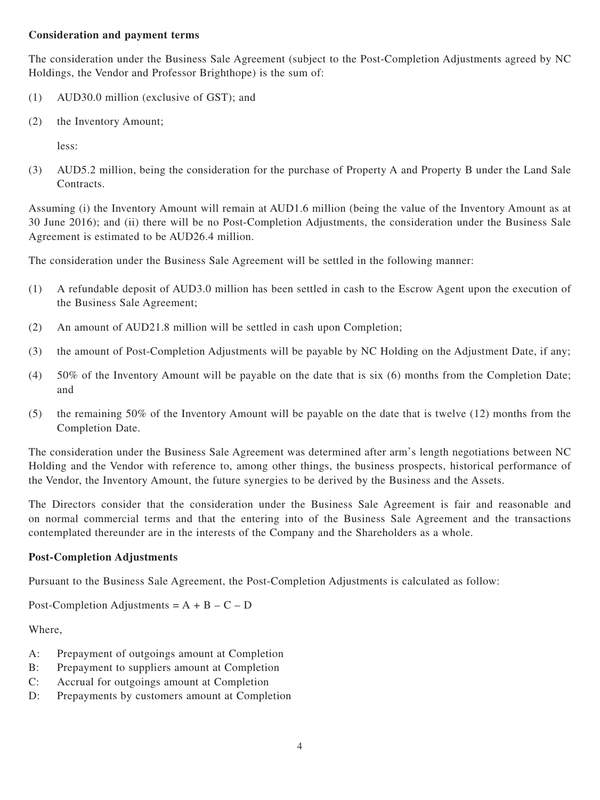### **Consideration and payment terms**

The consideration under the Business Sale Agreement (subject to the Post-Completion Adjustments agreed by NC Holdings, the Vendor and Professor Brighthope) is the sum of:

- (1) AUD30.0 million (exclusive of GST); and
- (2) the Inventory Amount;

less:

(3) AUD5.2 million, being the consideration for the purchase of Property A and Property B under the Land Sale Contracts.

Assuming (i) the Inventory Amount will remain at AUD1.6 million (being the value of the Inventory Amount as at 30 June 2016); and (ii) there will be no Post-Completion Adjustments, the consideration under the Business Sale Agreement is estimated to be AUD26.4 million.

The consideration under the Business Sale Agreement will be settled in the following manner:

- (1) A refundable deposit of AUD3.0 million has been settled in cash to the Escrow Agent upon the execution of the Business Sale Agreement;
- (2) An amount of AUD21.8 million will be settled in cash upon Completion;
- (3) the amount of Post-Completion Adjustments will be payable by NC Holding on the Adjustment Date, if any;
- (4) 50% of the Inventory Amount will be payable on the date that is six (6) months from the Completion Date; and
- (5) the remaining 50% of the Inventory Amount will be payable on the date that is twelve (12) months from the Completion Date.

The consideration under the Business Sale Agreement was determined after arm's length negotiations between NC Holding and the Vendor with reference to, among other things, the business prospects, historical performance of the Vendor, the Inventory Amount, the future synergies to be derived by the Business and the Assets.

The Directors consider that the consideration under the Business Sale Agreement is fair and reasonable and on normal commercial terms and that the entering into of the Business Sale Agreement and the transactions contemplated thereunder are in the interests of the Company and the Shareholders as a whole.

#### **Post-Completion Adjustments**

Pursuant to the Business Sale Agreement, the Post-Completion Adjustments is calculated as follow:

Post-Completion Adjustments =  $A + B - C - D$ 

Where,

- A: Prepayment of outgoings amount at Completion
- B: Prepayment to suppliers amount at Completion
- C: Accrual for outgoings amount at Completion
- D: Prepayments by customers amount at Completion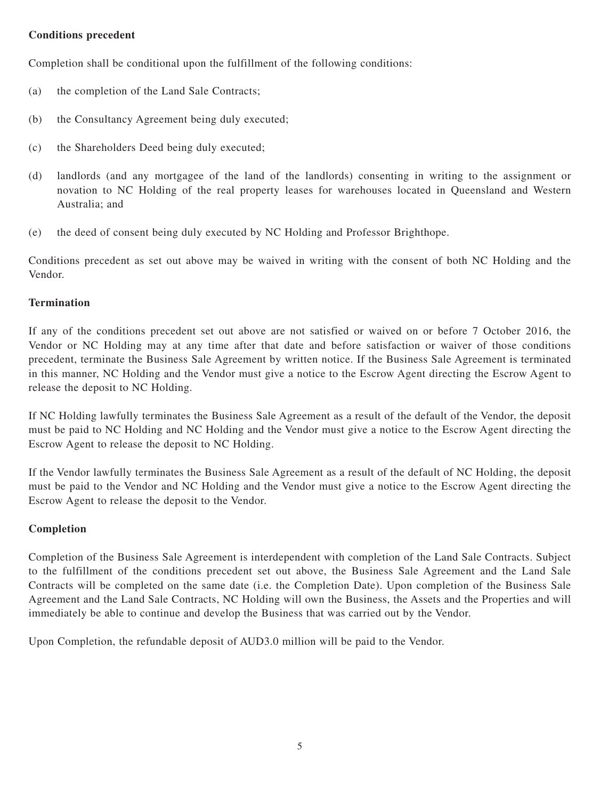## **Conditions precedent**

Completion shall be conditional upon the fulfillment of the following conditions:

- (a) the completion of the Land Sale Contracts;
- (b) the Consultancy Agreement being duly executed;
- (c) the Shareholders Deed being duly executed;
- (d) landlords (and any mortgagee of the land of the landlords) consenting in writing to the assignment or novation to NC Holding of the real property leases for warehouses located in Queensland and Western Australia; and
- (e) the deed of consent being duly executed by NC Holding and Professor Brighthope.

Conditions precedent as set out above may be waived in writing with the consent of both NC Holding and the Vendor.

#### **Termination**

If any of the conditions precedent set out above are not satisfied or waived on or before 7 October 2016, the Vendor or NC Holding may at any time after that date and before satisfaction or waiver of those conditions precedent, terminate the Business Sale Agreement by written notice. If the Business Sale Agreement is terminated in this manner, NC Holding and the Vendor must give a notice to the Escrow Agent directing the Escrow Agent to release the deposit to NC Holding.

If NC Holding lawfully terminates the Business Sale Agreement as a result of the default of the Vendor, the deposit must be paid to NC Holding and NC Holding and the Vendor must give a notice to the Escrow Agent directing the Escrow Agent to release the deposit to NC Holding.

If the Vendor lawfully terminates the Business Sale Agreement as a result of the default of NC Holding, the deposit must be paid to the Vendor and NC Holding and the Vendor must give a notice to the Escrow Agent directing the Escrow Agent to release the deposit to the Vendor.

#### **Completion**

Completion of the Business Sale Agreement is interdependent with completion of the Land Sale Contracts. Subject to the fulfillment of the conditions precedent set out above, the Business Sale Agreement and the Land Sale Contracts will be completed on the same date (i.e. the Completion Date). Upon completion of the Business Sale Agreement and the Land Sale Contracts, NC Holding will own the Business, the Assets and the Properties and will immediately be able to continue and develop the Business that was carried out by the Vendor.

Upon Completion, the refundable deposit of AUD3.0 million will be paid to the Vendor.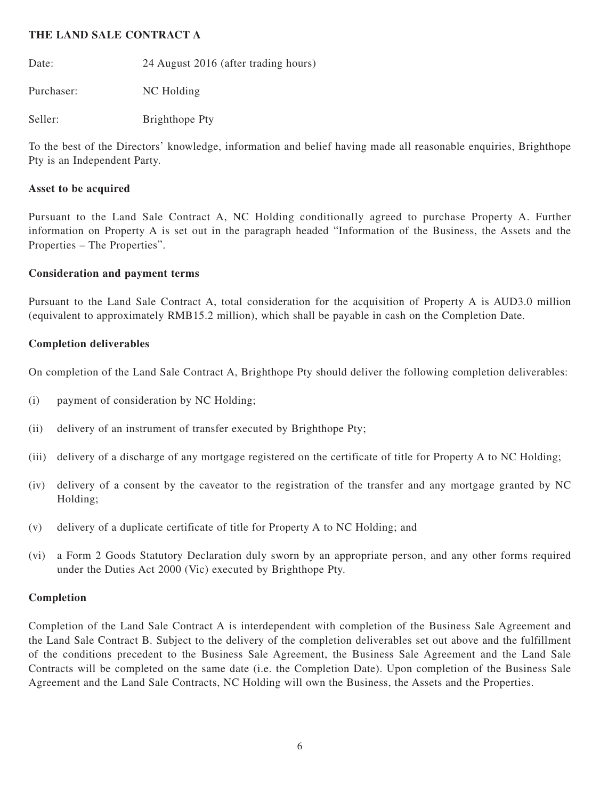### **THE LAND SALE CONTRACT A**

Date: 24 August 2016 (after trading hours)

Purchaser: NC Holding

Seller: Brighthope Pty

To the best of the Directors' knowledge, information and belief having made all reasonable enquiries, Brighthope Pty is an Independent Party.

## **Asset to be acquired**

Pursuant to the Land Sale Contract A, NC Holding conditionally agreed to purchase Property A. Further information on Property A is set out in the paragraph headed "Information of the Business, the Assets and the Properties – The Properties".

## **Consideration and payment terms**

Pursuant to the Land Sale Contract A, total consideration for the acquisition of Property A is AUD3.0 million (equivalent to approximately RMB15.2 million), which shall be payable in cash on the Completion Date.

## **Completion deliverables**

On completion of the Land Sale Contract A, Brighthope Pty should deliver the following completion deliverables:

- (i) payment of consideration by NC Holding;
- (ii) delivery of an instrument of transfer executed by Brighthope Pty;
- (iii) delivery of a discharge of any mortgage registered on the certificate of title for Property A to NC Holding;
- (iv) delivery of a consent by the caveator to the registration of the transfer and any mortgage granted by NC Holding;
- (v) delivery of a duplicate certificate of title for Property A to NC Holding; and
- (vi) a Form 2 Goods Statutory Declaration duly sworn by an appropriate person, and any other forms required under the Duties Act 2000 (Vic) executed by Brighthope Pty.

## **Completion**

Completion of the Land Sale Contract A is interdependent with completion of the Business Sale Agreement and the Land Sale Contract B. Subject to the delivery of the completion deliverables set out above and the fulfillment of the conditions precedent to the Business Sale Agreement, the Business Sale Agreement and the Land Sale Contracts will be completed on the same date (i.e. the Completion Date). Upon completion of the Business Sale Agreement and the Land Sale Contracts, NC Holding will own the Business, the Assets and the Properties.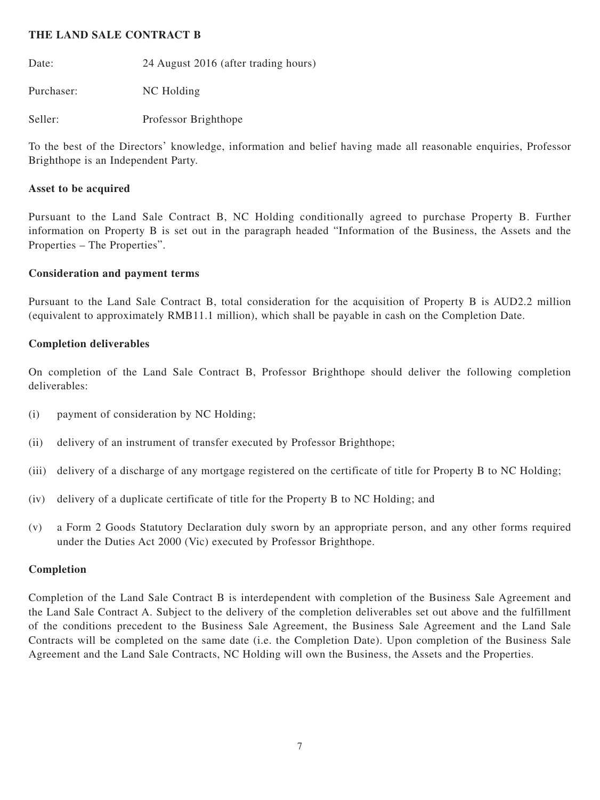#### **THE LAND SALE CONTRACT B**

Date: 24 August 2016 (after trading hours)

Purchaser: NC Holding

Seller: Professor Brighthope

To the best of the Directors' knowledge, information and belief having made all reasonable enquiries, Professor Brighthope is an Independent Party.

#### **Asset to be acquired**

Pursuant to the Land Sale Contract B, NC Holding conditionally agreed to purchase Property B. Further information on Property B is set out in the paragraph headed "Information of the Business, the Assets and the Properties – The Properties".

#### **Consideration and payment terms**

Pursuant to the Land Sale Contract B, total consideration for the acquisition of Property B is AUD2.2 million (equivalent to approximately RMB11.1 million), which shall be payable in cash on the Completion Date.

#### **Completion deliverables**

On completion of the Land Sale Contract B, Professor Brighthope should deliver the following completion deliverables:

- (i) payment of consideration by NC Holding;
- (ii) delivery of an instrument of transfer executed by Professor Brighthope;
- (iii) delivery of a discharge of any mortgage registered on the certificate of title for Property B to NC Holding;
- (iv) delivery of a duplicate certificate of title for the Property B to NC Holding; and
- (v) a Form 2 Goods Statutory Declaration duly sworn by an appropriate person, and any other forms required under the Duties Act 2000 (Vic) executed by Professor Brighthope.

#### **Completion**

Completion of the Land Sale Contract B is interdependent with completion of the Business Sale Agreement and the Land Sale Contract A. Subject to the delivery of the completion deliverables set out above and the fulfillment of the conditions precedent to the Business Sale Agreement, the Business Sale Agreement and the Land Sale Contracts will be completed on the same date (i.e. the Completion Date). Upon completion of the Business Sale Agreement and the Land Sale Contracts, NC Holding will own the Business, the Assets and the Properties.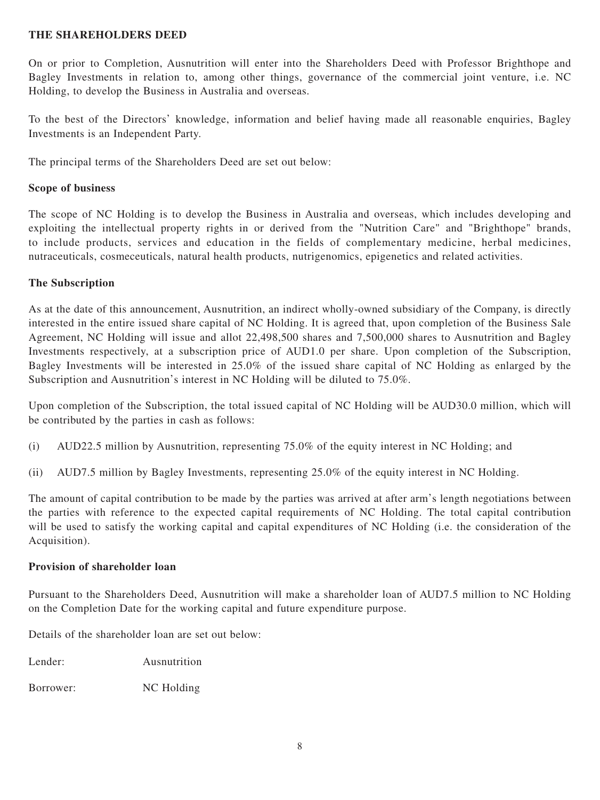### **THE SHAREHOLDERS DEED**

On or prior to Completion, Ausnutrition will enter into the Shareholders Deed with Professor Brighthope and Bagley Investments in relation to, among other things, governance of the commercial joint venture, i.e. NC Holding, to develop the Business in Australia and overseas.

To the best of the Directors' knowledge, information and belief having made all reasonable enquiries, Bagley Investments is an Independent Party.

The principal terms of the Shareholders Deed are set out below:

## **Scope of business**

The scope of NC Holding is to develop the Business in Australia and overseas, which includes developing and exploiting the intellectual property rights in or derived from the "Nutrition Care" and "Brighthope" brands, to include products, services and education in the fields of complementary medicine, herbal medicines, nutraceuticals, cosmeceuticals, natural health products, nutrigenomics, epigenetics and related activities.

## **The Subscription**

As at the date of this announcement, Ausnutrition, an indirect wholly-owned subsidiary of the Company, is directly interested in the entire issued share capital of NC Holding. It is agreed that, upon completion of the Business Sale Agreement, NC Holding will issue and allot 22,498,500 shares and 7,500,000 shares to Ausnutrition and Bagley Investments respectively, at a subscription price of AUD1.0 per share. Upon completion of the Subscription, Bagley Investments will be interested in 25.0% of the issued share capital of NC Holding as enlarged by the Subscription and Ausnutrition's interest in NC Holding will be diluted to 75.0%.

Upon completion of the Subscription, the total issued capital of NC Holding will be AUD30.0 million, which will be contributed by the parties in cash as follows:

- (i) AUD22.5 million by Ausnutrition, representing 75.0% of the equity interest in NC Holding; and
- (ii) AUD7.5 million by Bagley Investments, representing 25.0% of the equity interest in NC Holding.

The amount of capital contribution to be made by the parties was arrived at after arm's length negotiations between the parties with reference to the expected capital requirements of NC Holding. The total capital contribution will be used to satisfy the working capital and capital expenditures of NC Holding (i.e. the consideration of the Acquisition).

#### **Provision of shareholder loan**

Pursuant to the Shareholders Deed, Ausnutrition will make a shareholder loan of AUD7.5 million to NC Holding on the Completion Date for the working capital and future expenditure purpose.

Details of the shareholder loan are set out below:

Lender: Ausnutrition

Borrower: NC Holding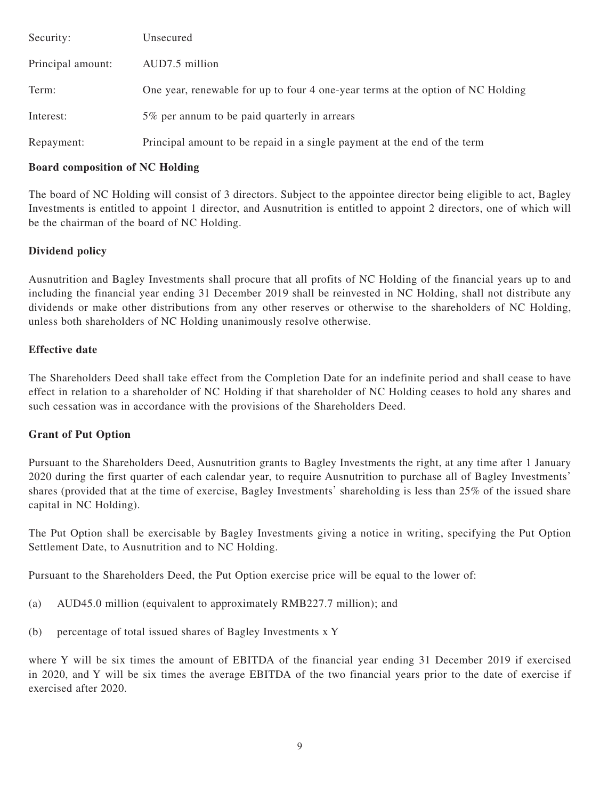| Security:         | Unsecured                                                                       |
|-------------------|---------------------------------------------------------------------------------|
| Principal amount: | AUD7.5 million                                                                  |
| Term:             | One year, renewable for up to four 4 one-year terms at the option of NC Holding |
| Interest:         | 5% per annum to be paid quarterly in arrears                                    |
| Repayment:        | Principal amount to be repaid in a single payment at the end of the term        |

#### **Board composition of NC Holding**

The board of NC Holding will consist of 3 directors. Subject to the appointee director being eligible to act, Bagley Investments is entitled to appoint 1 director, and Ausnutrition is entitled to appoint 2 directors, one of which will be the chairman of the board of NC Holding.

## **Dividend policy**

Ausnutrition and Bagley Investments shall procure that all profits of NC Holding of the financial years up to and including the financial year ending 31 December 2019 shall be reinvested in NC Holding, shall not distribute any dividends or make other distributions from any other reserves or otherwise to the shareholders of NC Holding, unless both shareholders of NC Holding unanimously resolve otherwise.

#### **Effective date**

The Shareholders Deed shall take effect from the Completion Date for an indefinite period and shall cease to have effect in relation to a shareholder of NC Holding if that shareholder of NC Holding ceases to hold any shares and such cessation was in accordance with the provisions of the Shareholders Deed.

#### **Grant of Put Option**

Pursuant to the Shareholders Deed, Ausnutrition grants to Bagley Investments the right, at any time after 1 January 2020 during the first quarter of each calendar year, to require Ausnutrition to purchase all of Bagley Investments' shares (provided that at the time of exercise, Bagley Investments' shareholding is less than 25% of the issued share capital in NC Holding).

The Put Option shall be exercisable by Bagley Investments giving a notice in writing, specifying the Put Option Settlement Date, to Ausnutrition and to NC Holding.

Pursuant to the Shareholders Deed, the Put Option exercise price will be equal to the lower of:

- (a) AUD45.0 million (equivalent to approximately RMB227.7 million); and
- (b) percentage of total issued shares of Bagley Investments x Y

where Y will be six times the amount of EBITDA of the financial year ending 31 December 2019 if exercised in 2020, and Y will be six times the average EBITDA of the two financial years prior to the date of exercise if exercised after 2020.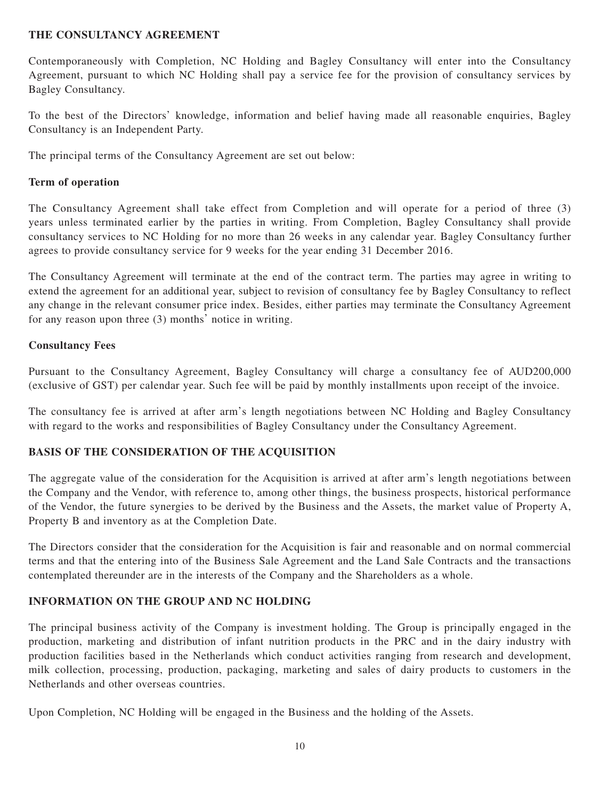## **THE CONSULTANCY AGREEMENT**

Contemporaneously with Completion, NC Holding and Bagley Consultancy will enter into the Consultancy Agreement, pursuant to which NC Holding shall pay a service fee for the provision of consultancy services by Bagley Consultancy.

To the best of the Directors' knowledge, information and belief having made all reasonable enquiries, Bagley Consultancy is an Independent Party.

The principal terms of the Consultancy Agreement are set out below:

## **Term of operation**

The Consultancy Agreement shall take effect from Completion and will operate for a period of three (3) years unless terminated earlier by the parties in writing. From Completion, Bagley Consultancy shall provide consultancy services to NC Holding for no more than 26 weeks in any calendar year. Bagley Consultancy further agrees to provide consultancy service for 9 weeks for the year ending 31 December 2016.

The Consultancy Agreement will terminate at the end of the contract term. The parties may agree in writing to extend the agreement for an additional year, subject to revision of consultancy fee by Bagley Consultancy to reflect any change in the relevant consumer price index. Besides, either parties may terminate the Consultancy Agreement for any reason upon three (3) months' notice in writing.

## **Consultancy Fees**

Pursuant to the Consultancy Agreement, Bagley Consultancy will charge a consultancy fee of AUD200,000 (exclusive of GST) per calendar year. Such fee will be paid by monthly installments upon receipt of the invoice.

The consultancy fee is arrived at after arm's length negotiations between NC Holding and Bagley Consultancy with regard to the works and responsibilities of Bagley Consultancy under the Consultancy Agreement.

## **BASIS OF THE CONSIDERATION OF THE ACQUISITION**

The aggregate value of the consideration for the Acquisition is arrived at after arm's length negotiations between the Company and the Vendor, with reference to, among other things, the business prospects, historical performance of the Vendor, the future synergies to be derived by the Business and the Assets, the market value of Property A, Property B and inventory as at the Completion Date.

The Directors consider that the consideration for the Acquisition is fair and reasonable and on normal commercial terms and that the entering into of the Business Sale Agreement and the Land Sale Contracts and the transactions contemplated thereunder are in the interests of the Company and the Shareholders as a whole.

## **INFORMATION ON THE GROUP AND NC HOLDING**

The principal business activity of the Company is investment holding. The Group is principally engaged in the production, marketing and distribution of infant nutrition products in the PRC and in the dairy industry with production facilities based in the Netherlands which conduct activities ranging from research and development, milk collection, processing, production, packaging, marketing and sales of dairy products to customers in the Netherlands and other overseas countries.

Upon Completion, NC Holding will be engaged in the Business and the holding of the Assets.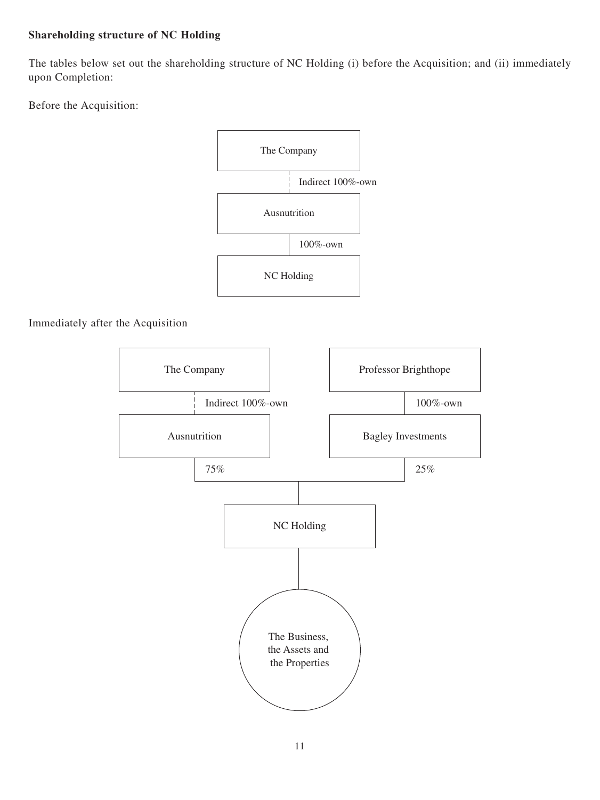## **Shareholding structure of NC Holding**

The tables below set out the shareholding structure of NC Holding (i) before the Acquisition; and (ii) immediately upon Completion:

Before the Acquisition:



## Immediately after the Acquisition

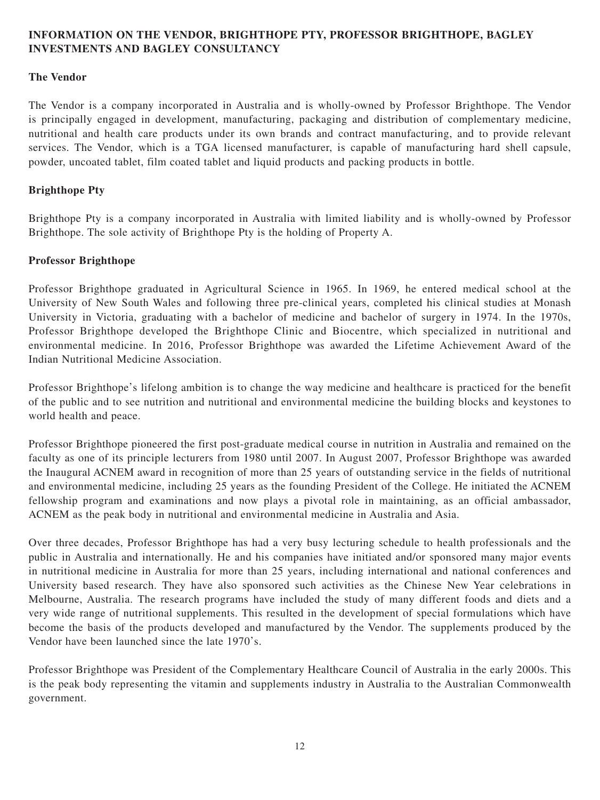## **INFORMATION ON THE VENDOR, BRIGHTHOPE PTY, PROFESSOR BRIGHTHOPE, BAGLEY INVESTMENTS AND BAGLEY CONSULTANCY**

## **The Vendor**

The Vendor is a company incorporated in Australia and is wholly-owned by Professor Brighthope. The Vendor is principally engaged in development, manufacturing, packaging and distribution of complementary medicine, nutritional and health care products under its own brands and contract manufacturing, and to provide relevant services. The Vendor, which is a TGA licensed manufacturer, is capable of manufacturing hard shell capsule, powder, uncoated tablet, film coated tablet and liquid products and packing products in bottle.

#### **Brighthope Pty**

Brighthope Pty is a company incorporated in Australia with limited liability and is wholly-owned by Professor Brighthope. The sole activity of Brighthope Pty is the holding of Property A.

#### **Professor Brighthope**

Professor Brighthope graduated in Agricultural Science in 1965. In 1969, he entered medical school at the University of New South Wales and following three pre-clinical years, completed his clinical studies at Monash University in Victoria, graduating with a bachelor of medicine and bachelor of surgery in 1974. In the 1970s, Professor Brighthope developed the Brighthope Clinic and Biocentre, which specialized in nutritional and environmental medicine. In 2016, Professor Brighthope was awarded the Lifetime Achievement Award of the Indian Nutritional Medicine Association.

Professor Brighthope's lifelong ambition is to change the way medicine and healthcare is practiced for the benefit of the public and to see nutrition and nutritional and environmental medicine the building blocks and keystones to world health and peace.

Professor Brighthope pioneered the first post-graduate medical course in nutrition in Australia and remained on the faculty as one of its principle lecturers from 1980 until 2007. In August 2007, Professor Brighthope was awarded the Inaugural ACNEM award in recognition of more than 25 years of outstanding service in the fields of nutritional and environmental medicine, including 25 years as the founding President of the College. He initiated the ACNEM fellowship program and examinations and now plays a pivotal role in maintaining, as an official ambassador, ACNEM as the peak body in nutritional and environmental medicine in Australia and Asia.

Over three decades, Professor Brighthope has had a very busy lecturing schedule to health professionals and the public in Australia and internationally. He and his companies have initiated and/or sponsored many major events in nutritional medicine in Australia for more than 25 years, including international and national conferences and University based research. They have also sponsored such activities as the Chinese New Year celebrations in Melbourne, Australia. The research programs have included the study of many different foods and diets and a very wide range of nutritional supplements. This resulted in the development of special formulations which have become the basis of the products developed and manufactured by the Vendor. The supplements produced by the Vendor have been launched since the late 1970's.

Professor Brighthope was President of the Complementary Healthcare Council of Australia in the early 2000s. This is the peak body representing the vitamin and supplements industry in Australia to the Australian Commonwealth government.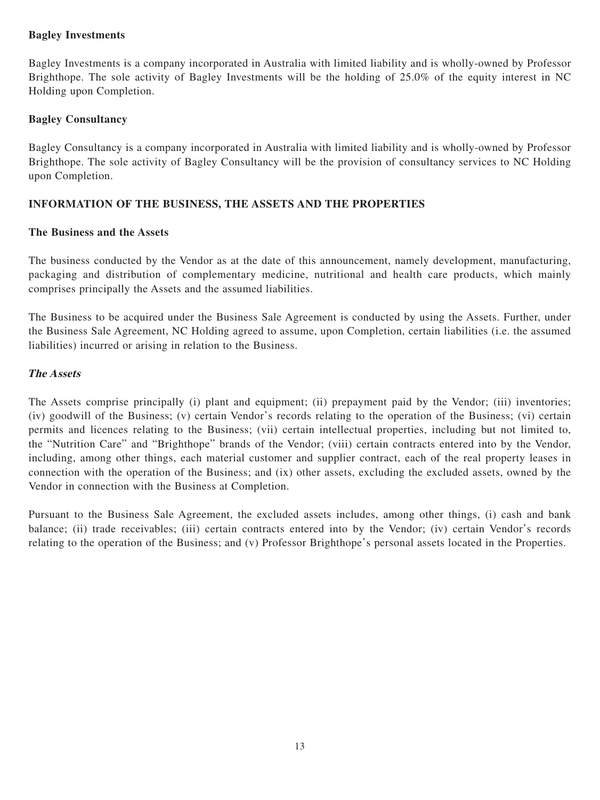## **Bagley Investments**

Bagley Investments is a company incorporated in Australia with limited liability and is wholly-owned by Professor Brighthope. The sole activity of Bagley Investments will be the holding of 25.0% of the equity interest in NC Holding upon Completion.

## **Bagley Consultancy**

Bagley Consultancy is a company incorporated in Australia with limited liability and is wholly-owned by Professor Brighthope. The sole activity of Bagley Consultancy will be the provision of consultancy services to NC Holding upon Completion.

## **INFORMATION OF THE BUSINESS, THE ASSETS AND THE PROPERTIES**

#### **The Business and the Assets**

The business conducted by the Vendor as at the date of this announcement, namely development, manufacturing, packaging and distribution of complementary medicine, nutritional and health care products, which mainly comprises principally the Assets and the assumed liabilities.

The Business to be acquired under the Business Sale Agreement is conducted by using the Assets. Further, under the Business Sale Agreement, NC Holding agreed to assume, upon Completion, certain liabilities (i.e. the assumed liabilities) incurred or arising in relation to the Business.

#### **The Assets**

The Assets comprise principally (i) plant and equipment; (ii) prepayment paid by the Vendor; (iii) inventories; (iv) goodwill of the Business; (v) certain Vendor's records relating to the operation of the Business; (vi) certain permits and licences relating to the Business; (vii) certain intellectual properties, including but not limited to, the "Nutrition Care" and "Brighthope" brands of the Vendor; (viii) certain contracts entered into by the Vendor, including, among other things, each material customer and supplier contract, each of the real property leases in connection with the operation of the Business; and (ix) other assets, excluding the excluded assets, owned by the Vendor in connection with the Business at Completion.

Pursuant to the Business Sale Agreement, the excluded assets includes, among other things, (i) cash and bank balance; (ii) trade receivables; (iii) certain contracts entered into by the Vendor; (iv) certain Vendor's records relating to the operation of the Business; and (v) Professor Brighthope's personal assets located in the Properties.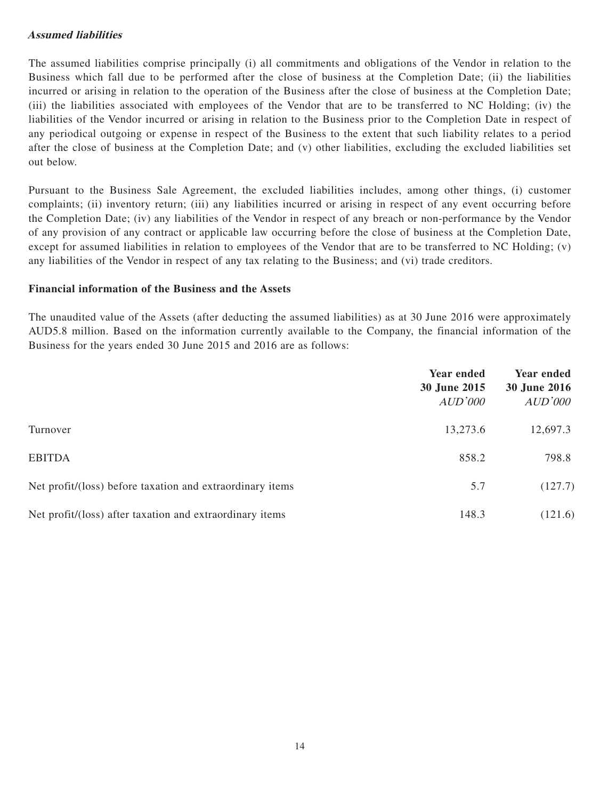## **Assumed liabilities**

The assumed liabilities comprise principally (i) all commitments and obligations of the Vendor in relation to the Business which fall due to be performed after the close of business at the Completion Date; (ii) the liabilities incurred or arising in relation to the operation of the Business after the close of business at the Completion Date; (iii) the liabilities associated with employees of the Vendor that are to be transferred to NC Holding; (iv) the liabilities of the Vendor incurred or arising in relation to the Business prior to the Completion Date in respect of any periodical outgoing or expense in respect of the Business to the extent that such liability relates to a period after the close of business at the Completion Date; and (v) other liabilities, excluding the excluded liabilities set out below.

Pursuant to the Business Sale Agreement, the excluded liabilities includes, among other things, (i) customer complaints; (ii) inventory return; (iii) any liabilities incurred or arising in respect of any event occurring before the Completion Date; (iv) any liabilities of the Vendor in respect of any breach or non-performance by the Vendor of any provision of any contract or applicable law occurring before the close of business at the Completion Date, except for assumed liabilities in relation to employees of the Vendor that are to be transferred to NC Holding; (v) any liabilities of the Vendor in respect of any tax relating to the Business; and (vi) trade creditors.

#### **Financial information of the Business and the Assets**

The unaudited value of the Assets (after deducting the assumed liabilities) as at 30 June 2016 were approximately AUD5.8 million. Based on the information currently available to the Company, the financial information of the Business for the years ended 30 June 2015 and 2016 are as follows:

|                                                           | <b>Year ended</b><br>30 June 2015<br>AUD'000 | Year ended<br><b>30 June 2016</b><br>AUD'000 |
|-----------------------------------------------------------|----------------------------------------------|----------------------------------------------|
| Turnover                                                  | 13,273.6                                     | 12,697.3                                     |
| <b>EBITDA</b>                                             | 858.2                                        | 798.8                                        |
| Net profit/(loss) before taxation and extraordinary items | 5.7                                          | (127.7)                                      |
| Net profit/(loss) after taxation and extraordinary items  | 148.3                                        | (121.6)                                      |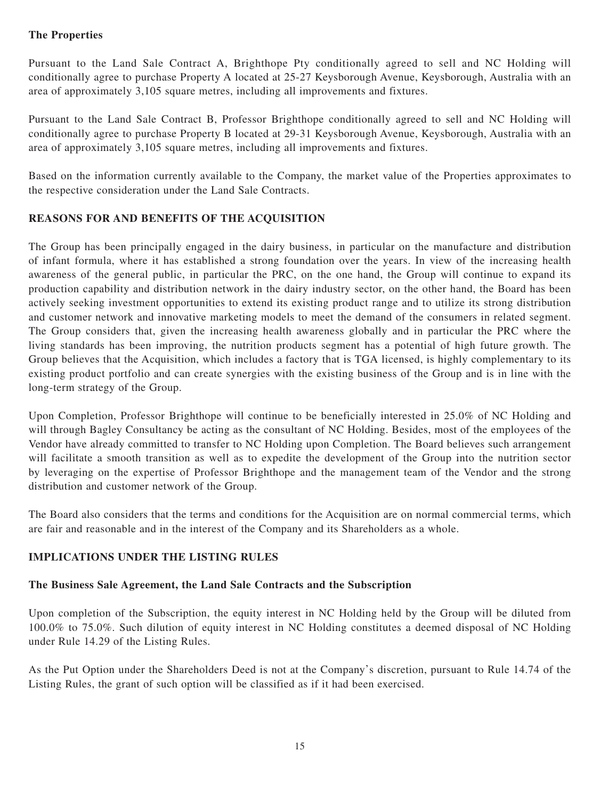## **The Properties**

Pursuant to the Land Sale Contract A, Brighthope Pty conditionally agreed to sell and NC Holding will conditionally agree to purchase Property A located at 25-27 Keysborough Avenue, Keysborough, Australia with an area of approximately 3,105 square metres, including all improvements and fixtures.

Pursuant to the Land Sale Contract B, Professor Brighthope conditionally agreed to sell and NC Holding will conditionally agree to purchase Property B located at 29-31 Keysborough Avenue, Keysborough, Australia with an area of approximately 3,105 square metres, including all improvements and fixtures.

Based on the information currently available to the Company, the market value of the Properties approximates to the respective consideration under the Land Sale Contracts.

## **REASONS FOR AND BENEFITS OF THE ACQUISITION**

The Group has been principally engaged in the dairy business, in particular on the manufacture and distribution of infant formula, where it has established a strong foundation over the years. In view of the increasing health awareness of the general public, in particular the PRC, on the one hand, the Group will continue to expand its production capability and distribution network in the dairy industry sector, on the other hand, the Board has been actively seeking investment opportunities to extend its existing product range and to utilize its strong distribution and customer network and innovative marketing models to meet the demand of the consumers in related segment. The Group considers that, given the increasing health awareness globally and in particular the PRC where the living standards has been improving, the nutrition products segment has a potential of high future growth. The Group believes that the Acquisition, which includes a factory that is TGA licensed, is highly complementary to its existing product portfolio and can create synergies with the existing business of the Group and is in line with the long-term strategy of the Group.

Upon Completion, Professor Brighthope will continue to be beneficially interested in 25.0% of NC Holding and will through Bagley Consultancy be acting as the consultant of NC Holding. Besides, most of the employees of the Vendor have already committed to transfer to NC Holding upon Completion. The Board believes such arrangement will facilitate a smooth transition as well as to expedite the development of the Group into the nutrition sector by leveraging on the expertise of Professor Brighthope and the management team of the Vendor and the strong distribution and customer network of the Group.

The Board also considers that the terms and conditions for the Acquisition are on normal commercial terms, which are fair and reasonable and in the interest of the Company and its Shareholders as a whole.

### **IMPLICATIONS UNDER THE LISTING RULES**

#### **The Business Sale Agreement, the Land Sale Contracts and the Subscription**

Upon completion of the Subscription, the equity interest in NC Holding held by the Group will be diluted from 100.0% to 75.0%. Such dilution of equity interest in NC Holding constitutes a deemed disposal of NC Holding under Rule 14.29 of the Listing Rules.

As the Put Option under the Shareholders Deed is not at the Company's discretion, pursuant to Rule 14.74 of the Listing Rules, the grant of such option will be classified as if it had been exercised.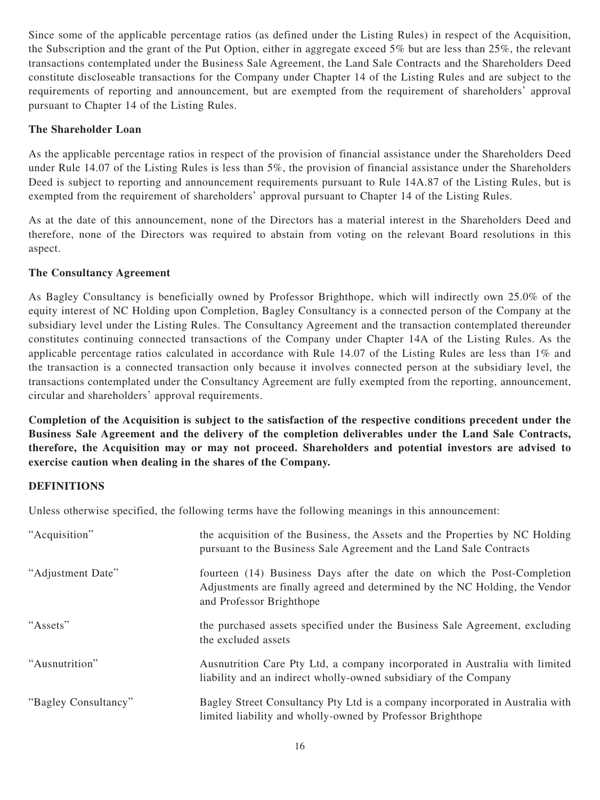Since some of the applicable percentage ratios (as defined under the Listing Rules) in respect of the Acquisition, the Subscription and the grant of the Put Option, either in aggregate exceed 5% but are less than 25%, the relevant transactions contemplated under the Business Sale Agreement, the Land Sale Contracts and the Shareholders Deed constitute discloseable transactions for the Company under Chapter 14 of the Listing Rules and are subject to the requirements of reporting and announcement, but are exempted from the requirement of shareholders' approval pursuant to Chapter 14 of the Listing Rules.

## **The Shareholder Loan**

As the applicable percentage ratios in respect of the provision of financial assistance under the Shareholders Deed under Rule 14.07 of the Listing Rules is less than 5%, the provision of financial assistance under the Shareholders Deed is subject to reporting and announcement requirements pursuant to Rule 14A.87 of the Listing Rules, but is exempted from the requirement of shareholders' approval pursuant to Chapter 14 of the Listing Rules.

As at the date of this announcement, none of the Directors has a material interest in the Shareholders Deed and therefore, none of the Directors was required to abstain from voting on the relevant Board resolutions in this aspect.

#### **The Consultancy Agreement**

As Bagley Consultancy is beneficially owned by Professor Brighthope, which will indirectly own 25.0% of the equity interest of NC Holding upon Completion, Bagley Consultancy is a connected person of the Company at the subsidiary level under the Listing Rules. The Consultancy Agreement and the transaction contemplated thereunder constitutes continuing connected transactions of the Company under Chapter 14A of the Listing Rules. As the applicable percentage ratios calculated in accordance with Rule 14.07 of the Listing Rules are less than 1% and the transaction is a connected transaction only because it involves connected person at the subsidiary level, the transactions contemplated under the Consultancy Agreement are fully exempted from the reporting, announcement, circular and shareholders' approval requirements.

**Completion of the Acquisition is subject to the satisfaction of the respective conditions precedent under the Business Sale Agreement and the delivery of the completion deliverables under the Land Sale Contracts, therefore, the Acquisition may or may not proceed. Shareholders and potential investors are advised to exercise caution when dealing in the shares of the Company.**

#### **DEFINITIONS**

Unless otherwise specified, the following terms have the following meanings in this announcement:

| "Acquisition"        | the acquisition of the Business, the Assets and the Properties by NC Holding<br>pursuant to the Business Sale Agreement and the Land Sale Contracts                                |
|----------------------|------------------------------------------------------------------------------------------------------------------------------------------------------------------------------------|
| "Adjustment Date"    | fourteen (14) Business Days after the date on which the Post-Completion<br>Adjustments are finally agreed and determined by the NC Holding, the Vendor<br>and Professor Brighthope |
| "Assets"             | the purchased assets specified under the Business Sale Agreement, excluding<br>the excluded assets                                                                                 |
| "Ausnutrition"       | Ausnutrition Care Pty Ltd, a company incorporated in Australia with limited<br>liability and an indirect wholly-owned subsidiary of the Company                                    |
| "Bagley Consultancy" | Bagley Street Consultancy Pty Ltd is a company incorporated in Australia with<br>limited liability and wholly-owned by Professor Brighthope                                        |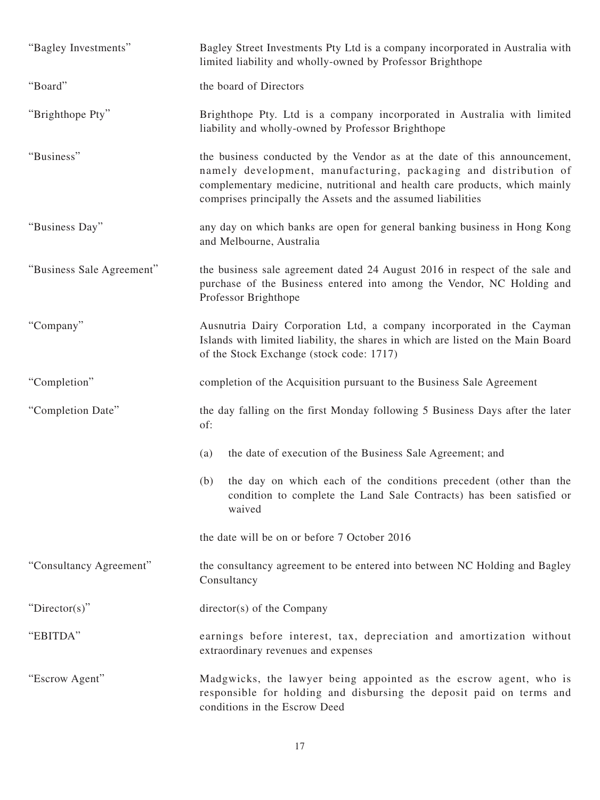| "Bagley Investments"      | Bagley Street Investments Pty Ltd is a company incorporated in Australia with<br>limited liability and wholly-owned by Professor Brighthope                                                                                                                                                 |
|---------------------------|---------------------------------------------------------------------------------------------------------------------------------------------------------------------------------------------------------------------------------------------------------------------------------------------|
| "Board"                   | the board of Directors                                                                                                                                                                                                                                                                      |
| "Brighthope Pty"          | Brighthope Pty. Ltd is a company incorporated in Australia with limited<br>liability and wholly-owned by Professor Brighthope                                                                                                                                                               |
| "Business"                | the business conducted by the Vendor as at the date of this announcement,<br>namely development, manufacturing, packaging and distribution of<br>complementary medicine, nutritional and health care products, which mainly<br>comprises principally the Assets and the assumed liabilities |
| "Business Day"            | any day on which banks are open for general banking business in Hong Kong<br>and Melbourne, Australia                                                                                                                                                                                       |
| "Business Sale Agreement" | the business sale agreement dated 24 August 2016 in respect of the sale and<br>purchase of the Business entered into among the Vendor, NC Holding and<br>Professor Brighthope                                                                                                               |
| "Company"                 | Ausnutria Dairy Corporation Ltd, a company incorporated in the Cayman<br>Islands with limited liability, the shares in which are listed on the Main Board<br>of the Stock Exchange (stock code: 1717)                                                                                       |
| "Completion"              | completion of the Acquisition pursuant to the Business Sale Agreement                                                                                                                                                                                                                       |
| "Completion Date"         | the day falling on the first Monday following 5 Business Days after the later<br>of:                                                                                                                                                                                                        |
|                           | the date of execution of the Business Sale Agreement; and<br>(a)                                                                                                                                                                                                                            |
|                           | (b)<br>the day on which each of the conditions precedent (other than the<br>condition to complete the Land Sale Contracts) has been satisfied or<br>waived                                                                                                                                  |
|                           | the date will be on or before 7 October 2016                                                                                                                                                                                                                                                |
| "Consultancy Agreement"   | the consultancy agreement to be entered into between NC Holding and Bagley<br>Consultancy                                                                                                                                                                                                   |
| "Director(s)"             | director(s) of the Company                                                                                                                                                                                                                                                                  |
| "EBITDA"                  | earnings before interest, tax, depreciation and amortization without<br>extraordinary revenues and expenses                                                                                                                                                                                 |
| "Escrow Agent"            | Madgwicks, the lawyer being appointed as the escrow agent, who is<br>responsible for holding and disbursing the deposit paid on terms and<br>conditions in the Escrow Deed                                                                                                                  |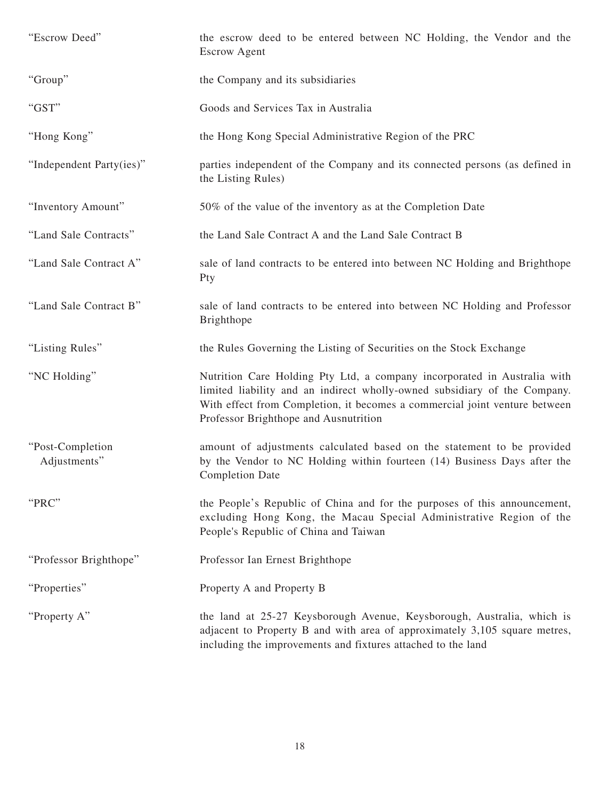| "Escrow Deed"                    | the escrow deed to be entered between NC Holding, the Vendor and the<br><b>Escrow Agent</b>                                                                                                                                                                                  |
|----------------------------------|------------------------------------------------------------------------------------------------------------------------------------------------------------------------------------------------------------------------------------------------------------------------------|
| "Group"                          | the Company and its subsidiaries                                                                                                                                                                                                                                             |
| "GST"                            | Goods and Services Tax in Australia                                                                                                                                                                                                                                          |
| "Hong Kong"                      | the Hong Kong Special Administrative Region of the PRC                                                                                                                                                                                                                       |
| "Independent Party(ies)"         | parties independent of the Company and its connected persons (as defined in<br>the Listing Rules)                                                                                                                                                                            |
| "Inventory Amount"               | 50% of the value of the inventory as at the Completion Date                                                                                                                                                                                                                  |
| "Land Sale Contracts"            | the Land Sale Contract A and the Land Sale Contract B                                                                                                                                                                                                                        |
| "Land Sale Contract A"           | sale of land contracts to be entered into between NC Holding and Brighthope<br>Pty                                                                                                                                                                                           |
| "Land Sale Contract B"           | sale of land contracts to be entered into between NC Holding and Professor<br>Brighthope                                                                                                                                                                                     |
| "Listing Rules"                  | the Rules Governing the Listing of Securities on the Stock Exchange                                                                                                                                                                                                          |
| "NC Holding"                     | Nutrition Care Holding Pty Ltd, a company incorporated in Australia with<br>limited liability and an indirect wholly-owned subsidiary of the Company.<br>With effect from Completion, it becomes a commercial joint venture between<br>Professor Brighthope and Ausnutrition |
| "Post-Completion<br>Adjustments" | amount of adjustments calculated based on the statement to be provided<br>by the Vendor to NC Holding within fourteen (14) Business Days after the<br><b>Completion Date</b>                                                                                                 |
| "PRC"                            | the People's Republic of China and for the purposes of this announcement,<br>excluding Hong Kong, the Macau Special Administrative Region of the<br>People's Republic of China and Taiwan                                                                                    |
| "Professor Brighthope"           | Professor Ian Ernest Brighthope                                                                                                                                                                                                                                              |
| "Properties"                     | Property A and Property B                                                                                                                                                                                                                                                    |
| "Property A"                     | the land at 25-27 Keysborough Avenue, Keysborough, Australia, which is<br>adjacent to Property B and with area of approximately 3,105 square metres,<br>including the improvements and fixtures attached to the land                                                         |